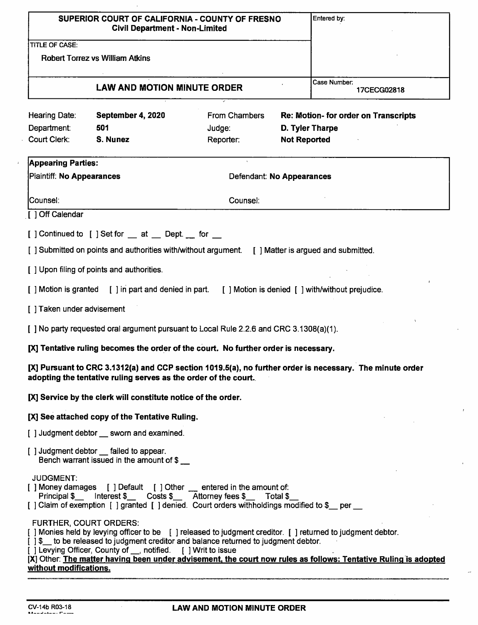| SUPERIOR COURT OF CALIFORNIA - COUNTY OF FRESNO<br><b>Civil Department - Non-Limited</b>                                                                                                                                                                                                                                         | Entered by:                          |
|----------------------------------------------------------------------------------------------------------------------------------------------------------------------------------------------------------------------------------------------------------------------------------------------------------------------------------|--------------------------------------|
| <b>TITLE OF CASE:</b>                                                                                                                                                                                                                                                                                                            |                                      |
| <b>Robert Torrez vs William Atkins</b>                                                                                                                                                                                                                                                                                           |                                      |
| <b>LAW AND MOTION MINUTE ORDER</b>                                                                                                                                                                                                                                                                                               | Case Number:<br>17CECG02818          |
| From Chambers<br>Hearing Date:<br>September 4, 2020                                                                                                                                                                                                                                                                              | Re: Motion- for order on Transcripts |
| Department:<br>501<br>Judge:<br>Court Clerk:<br>S. Nunez<br><b>Not Reported</b><br>Reporter:                                                                                                                                                                                                                                     | D. Tyler Tharpe                      |
| <b>Appearing Parties:</b>                                                                                                                                                                                                                                                                                                        |                                      |
| Plaintiff: No Appearances<br>Defendant: No Appearances                                                                                                                                                                                                                                                                           |                                      |
| lCounsel∶<br>Counsel:                                                                                                                                                                                                                                                                                                            |                                      |
|                                                                                                                                                                                                                                                                                                                                  |                                      |
| [ ] Off Calendar<br>[] Continued to [] Set for _ at _ Dept. _ for _                                                                                                                                                                                                                                                              |                                      |
| [ ] Submitted on points and authorities with/without argument. [ ] Matter is argued and submitted.                                                                                                                                                                                                                               |                                      |
| [ ] Upon filing of points and authorities.                                                                                                                                                                                                                                                                                       |                                      |
| [] Motion is granted [] in part and denied in part. [] Motion is denied [] with/without prejudice.                                                                                                                                                                                                                               |                                      |
| [ ] Taken under advisement                                                                                                                                                                                                                                                                                                       |                                      |
| [ ] No party requested oral argument pursuant to Local Rule 2.2.6 and CRC 3.1308(a)(1).<br>[X] Tentative ruling becomes the order of the court. No further order is necessary.                                                                                                                                                   |                                      |
| [X] Pursuant to CRC 3.1312(a) and CCP section 1019.5(a), no further order is necessary. The minute order<br>adopting the tentative ruling serves as the order of the court.                                                                                                                                                      |                                      |
| [X] Service by the clerk will constitute notice of the order.                                                                                                                                                                                                                                                                    |                                      |
| [X] See attached copy of the Tentative Ruling.                                                                                                                                                                                                                                                                                   |                                      |
| [] Judgment debtor sworn and examined.<br>[] Judgment debtor __ failed to appear.                                                                                                                                                                                                                                                |                                      |
| Bench warrant issued in the amount of \$<br><b>JUDGMENT:</b><br>[ ] Money damages [ ] Default [ ] Other _ entered in the amount of:<br>Principal \$___ lnterest \$___ Costs \$__ Attorney fees \$__ Total \$_                                                                                                                    |                                      |
| [] Claim of exemption [] granted [] denied. Court orders withholdings modified to \$_per _<br><b>FURTHER, COURT ORDERS:</b><br>[] Monies held by levying officer to be [ ] released to judgment creditor. [ ] returned to judgment debtor.<br>[] \$ to be released to judgment creditor and balance returned to judgment debtor. |                                      |
| [] Levying Officer, County of __, notified. [] Writ to issue<br>[X] Other: The matter having been under advisement, the court now rules as follows: Tentative Ruling is adopted<br>without modifications.                                                                                                                        |                                      |

 $\ddot{\phantom{a}}$ 

 $\mathbf{r}$ 

i.

 $\bar{\omega}$ 

 $\mathbb{F}$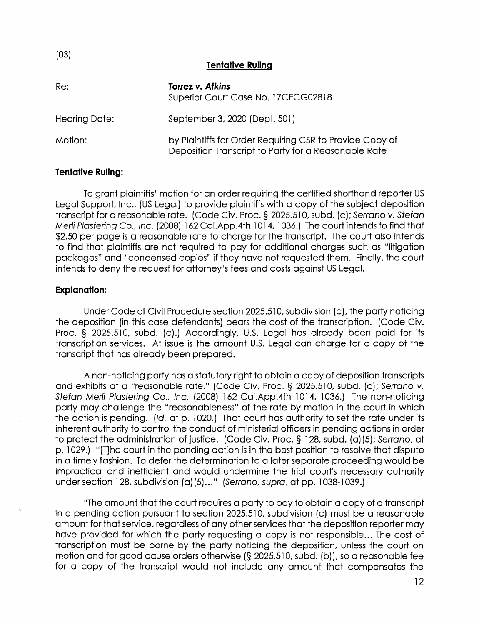| , 00,<br><b>Tentative Ruling</b> |                                                                                                                  |  |  |  |
|----------------------------------|------------------------------------------------------------------------------------------------------------------|--|--|--|
| Re:                              | Torrez v. Atkins<br>Superior Court Case No. 17CECG02818                                                          |  |  |  |
| Hearing Date:                    | September 3, 2020 (Dept. 501)                                                                                    |  |  |  |
| Motion:                          | by Plaintiffs for Order Requiring CSR to Provide Copy of<br>Deposition Transcript to Party for a Reasonable Rate |  |  |  |

## Tentative Ruling:

 $(03)$ 

To grant plaintiffs' motion for an order requiring the certified shorthand reporter US Legal Support, Inc., (US Legal) to provide plaintiffs with a copy of the subject deposition transcript for a reasonable rate. (Code Civ. Proc. § 2025.510, subd. (c); Serrano v. Stefan Merli Plastering Co., Inc. (2008) 162 Cal.App.4th 1014, 1036.) The court intends to find that \$2.50 per page is a reasonable rate to charge for the transcript. The court also intends to find that plaintiffs are not required to pay for additional charges such as "litigation packages" and "condensed copies" if they have not requested them. Finally, the court intends to deny the request for attorney's fees and costs against US Legal.

## Explanation:

Under Code of Civil Procedure section 2025.510, subdivision (c), the party noticing the deposition (in this case defendants) bears the cost of the transcription. (Code Civ. Proc. § 2025.510, subd. (c).) Accordingly, U.S. Legal has already been paid for its transcription services. At issue is the amount U.S. Legal can charge for a copy of the transcript that has already been prepared.

A non-noticing party has a statutory right to obtain a copy of deposition transcripts and exhibits at a "reasonable rate." (Code Civ. Proc. § 2025.510, subd. (c}; Serrano v. Stefan Merli Plastering Co., Inc. (2008) 162 Cal.App.4th 1014, 1036.) The non-noficing party may challenge the "reasonableness" of the rate by motion in the court in which the action is pending. (Id. at p. 1020.) That court has authority to set the rate under its inherent authority to control the conduct of ministerial officers in pending actions in order to protect the administration of justice. (Code Civ. Proc. § 128, subd. (a)(5); Serrano, at p. 1029.) "T]he court in the pending action is in the best position to resolve that dispute in a timely fashion. To defer the determination to a later separate proceeding would be impractical and inefficient and would undermine the trial court's necessary authority under section 128, subdivision (a)(5)..." (Serrano, supra, at pp. 1038-1039.)

"The amount that the court requires a party to pay to obtain a copy of a transcript in a pending action pursuant to section 2025.510, subdivision (c) must be a reasonable amount for that service, regardless of any other services that the deposition reporter may have provided for which the party requesting a copy is not responsible... The cost of transcription must be borne by the party noticing the deposition, unless the court on motion and for good cause orders otherwise (§ 2025.510, subd. (b)), so a reasonable fee for a copy of the transcript would not include any amount that compensates the

12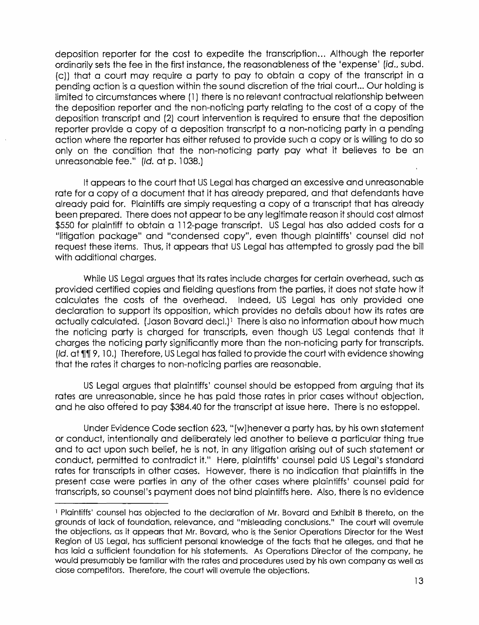deposition reporter for the cost to expedite the transcription... Although the reporter ordinarily sets the fee in the first instance, the reasonableness of the 'expense' [id., subd. (c)) that a court may require a party to pay to obtain a copy of the transcript in a pending action is a question within the sound discretion of the trial court... Our holding is limited to circumstances where (1) there is no relevant contractual relationship between the deposition reporter and the non-noticing party relating to the cost of a copy of the deposition transcript and (2) court intervention is required to ensure that the deposition reporter provide a copy of a deposition transcript to a non-noticing party in a pending action where the reporter has either refused to provide such a copy or is willing to do so only on the condition that the non-noticing party pay what it believes to be an Unreasonable fee." (Id. at p. 1038.)

It appears to the court that US Legal has charged an excessive and unreasonable rate for a copy of a document that it has already prepared, and that defendants have already paid for. Plaintiffs are simply requesting a copy of a transcript that has already been prepared. There does not appear to be any legitimate reason it should cost almost \$550 for plaintiff to obtain a 112-page transcript. US Legal has also added costs for a "litigation package" and "condensed copy", even though plaintiffs' counsel did not request these items. Thus, it appears that US Legal has attempted to grossly pad the bill with additional charges.

While US Legal argues that its rates include charges for certain overhead, such as provided certified copies and fielding questions from the parties, it does not state how it calculates the costs of the overhead. Indeed, US Legal has only provided one declaration to support its opposition, which provides no details about how its rates are actually calculated. (Jason Bovard decl.)<sup>1</sup> There is also no information about how much the noticing party is charged for transcripts, even though US Legal contends that it charges the noticing party significantly more than the non-noticing party for transcripts. (Id. at  $\P\P$  9, 10.) Therefore, US Legal has failed to provide the court with evidence showing that the rates it charges to non-noticing parties are reasonable.

US Legal argues that plaintiffs' counsel should be estopped from arguing that its rates are unreasonable, since he has paid those rates in prior cases without objection, and he also offered to pay \$384.40 for the transcript at issue here. There is no estoppel.

Under Evidence Code section 623, "[W]henever a party has, by his own statement or conduct, intentionally and deliberately led another to believe a particular thing true and to act upon such belief, he is not, in any litigation arising out of such statement or conduct, permitted to contradict it." Here, plaintiffs' counsel paid US Legal's standard rates for transcripts in other cases. However, there is no indication that plaintiffs in the present case were parties in any of the other cases where plaintiffs' counsel paid for rates are unre<br>and he also c<br>Under<br>or conduct, ir<br>and to act up<br>conduct, per<br>rates for trans<br>present case<br>transcripts, so transcripts, so Counsel's payment does not bind plaintiffs here. Also, there is no evidence

<sup>&#</sup>x27; Plaintiffs' counsel has objected to the declaration of Mr. Bovard and Exhibit B thereto, on the grounds of lack of foundation, relevance, and "misleading conclusions." The court will overrule the objections, as it appears that Mr. Bovard, who is the Senior Operations Director for the West Region of US Legal, has sufficient personal knowledge of the facts that he alleges, and that he has laid a sufficient foundation for his statements. As Operations Director of the company, he would presumably be familiar with the rates and procedures used by his own company as well as close competitors. Therefore, the court will overrule the objections.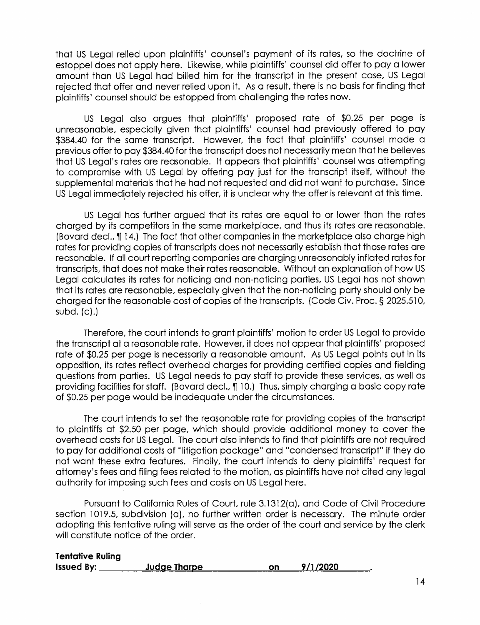that US Legal relied upon plaintiffs' counsel's payment of iis rates, so the docirine of estoppel does not apply here. Likewise, while plaintiffs' counsel did offer to pay a lower amount than US Legal had billed him for the transcript in the present case, US Legal rejected that offer and never relied upon it. As a result, there is no basis for finding that plaintiffs' counsel should be estopped from challenging the rates now.

US Legal also argues that plaintiffs' proposed rate of \$0.25 per page is Unreasonable, especially given that plaintiffs' counsel had previously offered to pay \$384.40 for the same transcript. However, the fact that plaintiffs' counsel made a previous offer to pay \$384.40 for the transcript does not necessarily mean that he believes that US Legal's rates are reasonable. It appears that plaintiffs' counsel was attempting to compromise with US Legal by offering pay just for the transcript itself, without the supplemental materials that he had not requested and did not want to purchase. Since US Legal immediately rejected his offer, it is unclear why the offer is relevant at this time.

US Legal has further argued that its rates are equal to or lower than the rates charged by its competitors in the same marketplace, and thus its rates are reasonable. (Bovard decl., 114.) The fact that other companies in the marketplace also charge high rates for providing copies of transcripts does not necessarily establish that those rates are reasonable. If all court reporting companies are charging unreasonably inflated rates for transcripts, that does not make their rates reasonable. Without an explanation of how US Legal calculates its rates for noticing and non-noticing parties, US Legal has not shown that its rates are reasonable, especially given that the non-noticing party should only be charged for the reasonable cost of copies of the transcripts. (Code Civ. Proc. § 2025.510, subd. {c).)

Therefore, the court intends to grant plaintiffs' motion to order US Legal to provide the transcript at a reasonable rate. However, it does not appear that plaintiffs' proposed rate of \$0.25 per page is necessarily a reasonable amount. As US Legal points out in iis opposition, its rates reflect overhead charges for providing certified copies and fielding questions from parties. US Legal needs to pay staff to provide these services, as well as providing facilities for staff. (Bovard decl., 110.) Thus, simply charging a basic copy rate of \$0.25 per page would be inadequate under the circumstances.

The court intends to set the reasonable rate for providing copies of the transcript to plaintiffs at \$2.50 per page, which should provide additional money to cover the overhead costs for US Legal. The court also intends to find that plaintiffs are not required to pay for additional costs of "litigation package" and "condensed transcript" if they do not want these extra features. Finally, the court intends to deny plaintiffs' request for aitorney's fees and filing fees related to the motion, as plaintiffs have not cited any legal authority for imposing such fees and costs on US Legal here.

Pursuant to California Rules of Court, rule 3.1312(a), and Code of Civil Procedure section 1019.5, subdivision (a}, no further written order is necessary. The minute order adopting this tentative ruling will serve as the order of the court and service by the clerk will constitute notice of the order.

| <b>Tentative Ruling</b> |              |    |          |  |
|-------------------------|--------------|----|----------|--|
| <b>Issued By:</b>       | Judge Tharpe | on | 9/1/2020 |  |